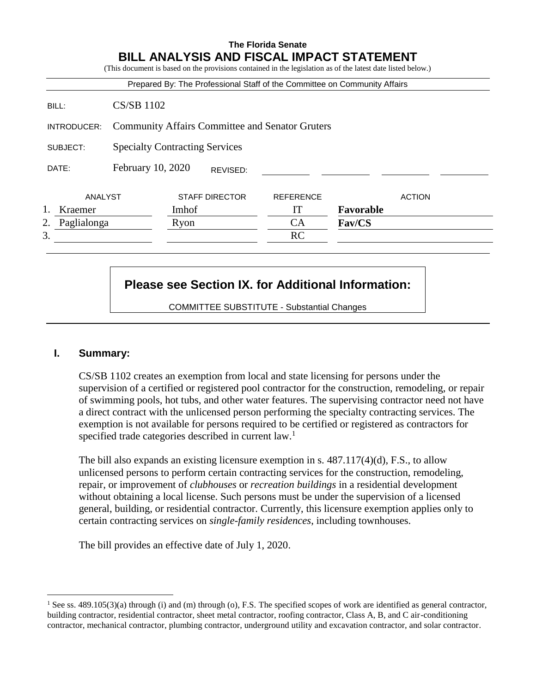## **The Florida Senate BILL ANALYSIS AND FISCAL IMPACT STATEMENT**

|                   |                                                        |       |                       | Prepared By: The Professional Staff of the Committee on Community Affairs |           |               |
|-------------------|--------------------------------------------------------|-------|-----------------------|---------------------------------------------------------------------------|-----------|---------------|
| BILL:             | <b>CS/SB 1102</b>                                      |       |                       |                                                                           |           |               |
| INTRODUCER:       | <b>Community Affairs Committee and Senator Gruters</b> |       |                       |                                                                           |           |               |
| SUBJECT:          | <b>Specialty Contracting Services</b>                  |       |                       |                                                                           |           |               |
| DATE:             | February 10, 2020                                      |       | REVISED:              |                                                                           |           |               |
| ANALYST           |                                                        |       | <b>STAFF DIRECTOR</b> | <b>REFERENCE</b>                                                          |           | <b>ACTION</b> |
| Kraemer           |                                                        | Imhof |                       | IТ                                                                        | Favorable |               |
| Paglialonga<br>2. |                                                        | Ryon  |                       | <b>CA</b>                                                                 | Fav/CS    |               |
| 3.                |                                                        |       |                       | <b>RC</b>                                                                 |           |               |

# **Please see Section IX. for Additional Information:**

COMMITTEE SUBSTITUTE - Substantial Changes

## **I. Summary:**

 $\overline{a}$ 

CS/SB 1102 creates an exemption from local and state licensing for persons under the supervision of a certified or registered pool contractor for the construction, remodeling, or repair of swimming pools, hot tubs, and other water features. The supervising contractor need not have a direct contract with the unlicensed person performing the specialty contracting services. The exemption is not available for persons required to be certified or registered as contractors for specified trade categories described in current law.<sup>1</sup>

The bill also expands an existing licensure exemption in s.  $487.117(4)(d)$ , F.S., to allow unlicensed persons to perform certain contracting services for the construction, remodeling, repair, or improvement of *clubhouses* or *recreation buildings* in a residential development without obtaining a local license. Such persons must be under the supervision of a licensed general, building, or residential contractor. Currently, this licensure exemption applies only to certain contracting services on *single-family residences*, including townhouses.

The bill provides an effective date of July 1, 2020.

<sup>&</sup>lt;sup>1</sup> See ss. 489.105(3)(a) through (i) and (m) through (o), F.S. The specified scopes of work are identified as general contractor, building contractor, residential contractor, sheet metal contractor, roofing contractor, Class A, B, and C air-conditioning contractor, mechanical contractor, plumbing contractor, underground utility and excavation contractor, and solar contractor.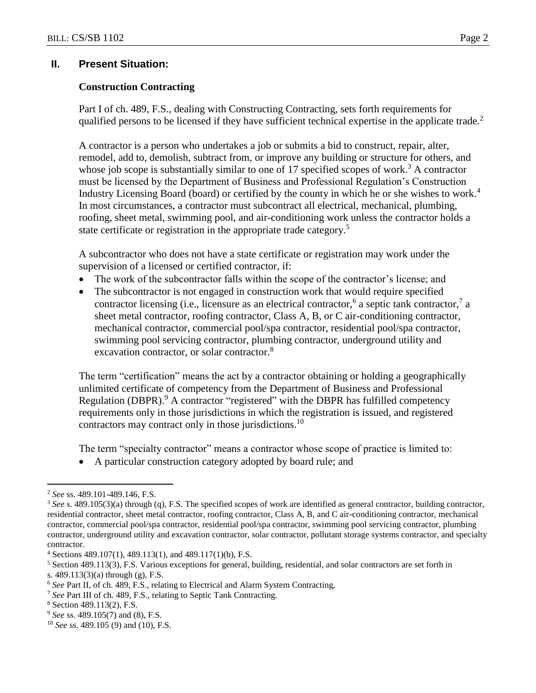#### **II. Present Situation:**

#### **Construction Contracting**

Part I of ch. 489, F.S., dealing with Constructing Contracting, sets forth requirements for qualified persons to be licensed if they have sufficient technical expertise in the applicate trade.<sup>2</sup>

A contractor is a person who undertakes a job or submits a bid to construct, repair, alter, remodel, add to, demolish, subtract from, or improve any building or structure for others, and whose job scope is substantially similar to one of 17 specified scopes of work.<sup>3</sup> A contractor must be licensed by the Department of Business and Professional Regulation's Construction Industry Licensing Board (board) or certified by the county in which he or she wishes to work.<sup>4</sup> In most circumstances, a contractor must subcontract all electrical, mechanical, plumbing, roofing, sheet metal, swimming pool, and air-conditioning work unless the contractor holds a state certificate or registration in the appropriate trade category.<sup>5</sup>

A subcontractor who does not have a state certificate or registration may work under the supervision of a licensed or certified contractor, if:

- The work of the subcontractor falls within the scope of the contractor's license; and
- The subcontractor is not engaged in construction work that would require specified contractor licensing (i.e., licensure as an electrical contractor,<sup>6</sup> a septic tank contractor,<sup>7</sup> a sheet metal contractor, roofing contractor, Class A, B, or C air-conditioning contractor, mechanical contractor, commercial pool/spa contractor, residential pool/spa contractor, swimming pool servicing contractor, plumbing contractor, underground utility and excavation contractor, or solar contractor.<sup>8</sup>

The term "certification" means the act by a contractor obtaining or holding a geographically unlimited certificate of competency from the Department of Business and Professional Regulation (DBPR).<sup>9</sup> A contractor "registered" with the DBPR has fulfilled competency requirements only in those jurisdictions in which the registration is issued, and registered contractors may contract only in those jurisdictions.<sup>10</sup>

The term "specialty contractor" means a contractor whose scope of practice is limited to:

A particular construction category adopted by board rule; and

 $\overline{a}$ 

<sup>2</sup> *See* ss. 489.101-489.146, F.S.

<sup>&</sup>lt;sup>3</sup> See s. 489.105(3)(a) through (q), F.S. The specified scopes of work are identified as general contractor, building contractor, residential contractor, sheet metal contractor, roofing contractor, Class A, B, and C air-conditioning contractor, mechanical contractor, commercial pool/spa contractor, residential pool/spa contractor, swimming pool servicing contractor, plumbing contractor, underground utility and excavation contractor, solar contractor, pollutant storage systems contractor, and specialty contractor.

 $4$  Sections 489.107(1), 489.113(1), and 489.117(1)(b), F.S.

<sup>5</sup> Section 489.113(3), F.S. Various exceptions for general, building, residential, and solar contractors are set forth in s. 489.113(3)(a) through (g), F.S.

<sup>6</sup> *See* Part II, of ch. 489, F.S., relating to Electrical and Alarm System Contracting,

<sup>7</sup> *See* Part III of ch. 489, F.S., relating to Septic Tank Contracting.

<sup>8</sup> Section 489.113(2), F.S.

<sup>9</sup> *See* ss. 489.105(7) and (8), F.S.

<sup>10</sup> *See* ss. 489.105 (9) and (10), F.S.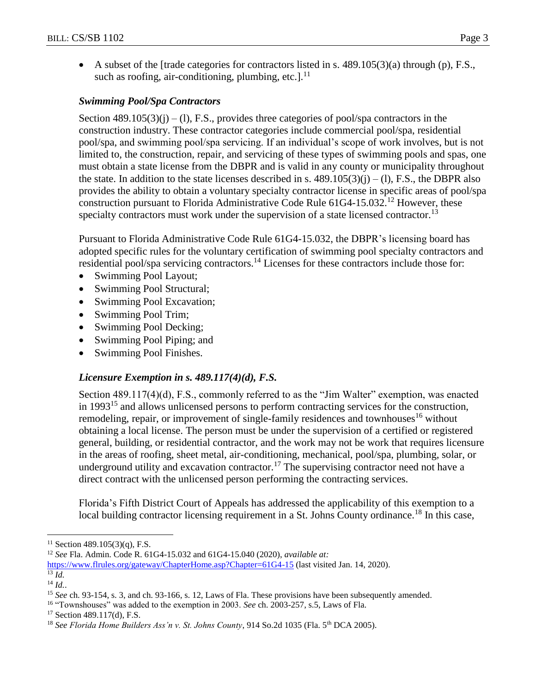A subset of the [trade categories for contractors listed in s.  $489.105(3)(a)$  through (p), F.S., such as roofing, air-conditioning, plumbing, etc.]. $^{11}$ 

## *Swimming Pool/Spa Contractors*

Section  $489.105(3)(i) - (1)$ , F.S., provides three categories of pool/spa contractors in the construction industry. These contractor categories include commercial pool/spa, residential pool/spa, and swimming pool/spa servicing. If an individual's scope of work involves, but is not limited to, the construction, repair, and servicing of these types of swimming pools and spas, one must obtain a state license from the DBPR and is valid in any county or municipality throughout the state. In addition to the state licenses described in s.  $489.105(3)(i) - (1)$ , F.S., the DBPR also provides the ability to obtain a voluntary specialty contractor license in specific areas of pool/spa construction pursuant to Florida Administrative Code Rule  $61G4-15.032$ <sup>12</sup> However, these specialty contractors must work under the supervision of a state licensed contractor.<sup>13</sup>

Pursuant to Florida Administrative Code Rule 61G4-15.032, the DBPR's licensing board has adopted specific rules for the voluntary certification of swimming pool specialty contractors and residential pool/spa servicing contractors.<sup>14</sup> Licenses for these contractors include those for:

- Swimming Pool Layout;
- Swimming Pool Structural;
- Swimming Pool Excavation;
- Swimming Pool Trim;
- Swimming Pool Decking;
- Swimming Pool Piping; and
- Swimming Pool Finishes.

## *Licensure Exemption in s. 489.117(4)(d), F.S.*

Section 489.117(4)(d), F.S., commonly referred to as the "Jim Walter" exemption, was enacted in 1993<sup>15</sup> and allows unlicensed persons to perform contracting services for the construction, remodeling, repair, or improvement of single-family residences and townhouses<sup>16</sup> without obtaining a local license. The person must be under the supervision of a certified or registered general, building, or residential contractor, and the work may not be work that requires licensure in the areas of roofing, sheet metal, air-conditioning, mechanical, pool/spa, plumbing, solar, or underground utility and excavation contractor.<sup>17</sup> The supervising contractor need not have a direct contract with the unlicensed person performing the contracting services.

Florida's Fifth District Court of Appeals has addressed the applicability of this exemption to a local building contractor licensing requirement in a St. Johns County ordinance.<sup>18</sup> In this case,

 $\overline{a}$ 

<sup>16</sup> "Townshouses" was added to the exemption in 2003. *See* ch. 2003-257, s.5, Laws of Fla.

<sup>&</sup>lt;sup>11</sup> Section 489.105(3)(q), F.S.

<sup>12</sup> *See* Fla. Admin. Code R. 61G4-15.032 and 61G4-15.040 (2020), *available at:*

<https://www.flrules.org/gateway/ChapterHome.asp?Chapter=61G4-15> (last visited Jan. 14, 2020).  $^{13}$   $\tilde{I}$ *d*.

<sup>14</sup> *Id.*.

<sup>&</sup>lt;sup>15</sup> *See* ch. 93-154, s. 3, and ch. 93-166, s. 12, Laws of Fla. These provisions have been subsequently amended.

 $17$  Section 489.117(d), F.S.

<sup>&</sup>lt;sup>18</sup> See Florida Home Builders Ass'n v. St. Johns County, 914 So.2d 1035 (Fla. 5<sup>th</sup> DCA 2005).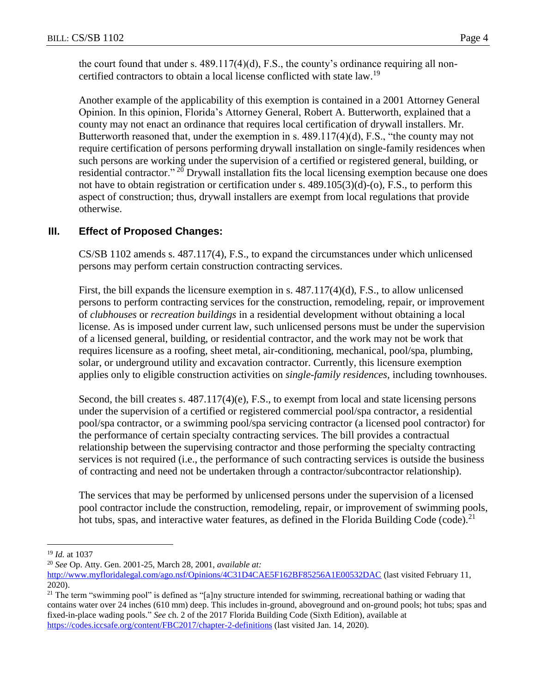the court found that under s. 489.117(4)(d), F.S., the county's ordinance requiring all noncertified contractors to obtain a local license conflicted with state law.<sup>19</sup>

Another example of the applicability of this exemption is contained in a 2001 Attorney General Opinion. In this opinion, Florida's Attorney General, Robert A. Butterworth, explained that a county may not enact an ordinance that requires local certification of drywall installers. Mr. Butterworth reasoned that, under the exemption in s. 489.117(4)(d), F.S., "the county may not require certification of persons performing drywall installation on single-family residences when such persons are working under the supervision of a certified or registered general, building, or residential contractor."  $20$  Drywall installation fits the local licensing exemption because one does not have to obtain registration or certification under s. 489.105(3)(d)-(o), F.S., to perform this aspect of construction; thus, drywall installers are exempt from local regulations that provide otherwise.

# **III. Effect of Proposed Changes:**

CS/SB 1102 amends s. 487.117(4), F.S., to expand the circumstances under which unlicensed persons may perform certain construction contracting services.

First, the bill expands the licensure exemption in s. 487.117(4)(d), F.S., to allow unlicensed persons to perform contracting services for the construction, remodeling, repair, or improvement of *clubhouses* or *recreation buildings* in a residential development without obtaining a local license. As is imposed under current law, such unlicensed persons must be under the supervision of a licensed general, building, or residential contractor, and the work may not be work that requires licensure as a roofing, sheet metal, air-conditioning, mechanical, pool/spa, plumbing, solar, or underground utility and excavation contractor. Currently, this licensure exemption applies only to eligible construction activities on *single-family residences*, including townhouses.

Second, the bill creates s. 487.117(4)(e), F.S., to exempt from local and state licensing persons under the supervision of a certified or registered commercial pool/spa contractor, a residential pool/spa contractor, or a swimming pool/spa servicing contractor (a licensed pool contractor) for the performance of certain specialty contracting services. The bill provides a contractual relationship between the supervising contractor and those performing the specialty contracting services is not required (i.e., the performance of such contracting services is outside the business of contracting and need not be undertaken through a contractor/subcontractor relationship).

The services that may be performed by unlicensed persons under the supervision of a licensed pool contractor include the construction, remodeling, repair, or improvement of swimming pools, hot tubs, spas, and interactive water features, as defined in the Florida Building Code (code).<sup>21</sup>

 $\overline{a}$ 

<sup>19</sup> *Id.* at 1037

<sup>20</sup> *See* Op. Atty. Gen. 2001-25, March 28, 2001, *available at:*

<http://www.myfloridalegal.com/ago.nsf/Opinions/4C31D4CAE5F162BF85256A1E00532DAC> (last visited February 11, 2020).

<sup>&</sup>lt;sup>21</sup> The term "swimming pool" is defined as "[a]ny structure intended for swimming, recreational bathing or wading that contains water over 24 inches (610 mm) deep. This includes in-ground, aboveground and on-ground pools; hot tubs; spas and fixed-in-place wading pools." *See* ch. 2 of the 2017 Florida Building Code (Sixth Edition), available at <https://codes.iccsafe.org/content/FBC2017/chapter-2-definitions> (last visited Jan. 14, 2020).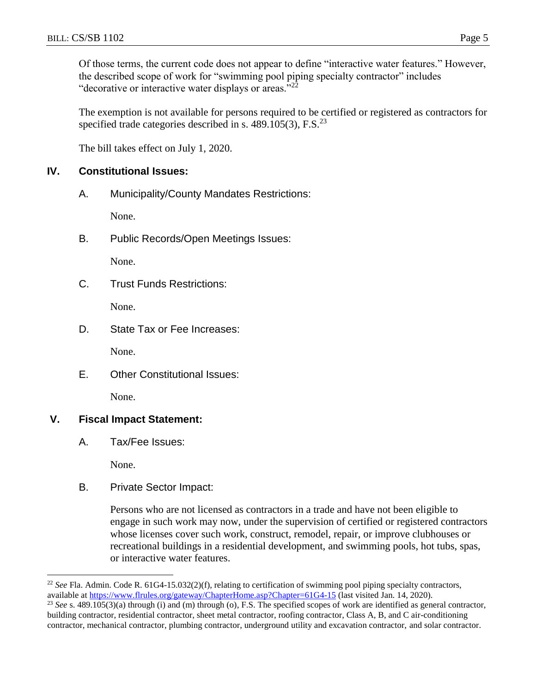Of those terms, the current code does not appear to define "interactive water features." However, the described scope of work for "swimming pool piping specialty contractor" includes "decorative or interactive water displays or areas."<sup>22</sup>

The exemption is not available for persons required to be certified or registered as contractors for specified trade categories described in s.  $489.105(3)$ , F.S.<sup>23</sup>

The bill takes effect on July 1, 2020.

#### **IV. Constitutional Issues:**

A. Municipality/County Mandates Restrictions:

None.

B. Public Records/Open Meetings Issues:

None.

C. Trust Funds Restrictions:

None.

D. State Tax or Fee Increases:

None.

E. Other Constitutional Issues:

None.

## **V. Fiscal Impact Statement:**

A. Tax/Fee Issues:

None.

 $\overline{a}$ 

B. Private Sector Impact:

Persons who are not licensed as contractors in a trade and have not been eligible to engage in such work may now, under the supervision of certified or registered contractors whose licenses cover such work, construct, remodel, repair, or improve clubhouses or recreational buildings in a residential development, and swimming pools, hot tubs, spas, or interactive water features.

<sup>&</sup>lt;sup>22</sup> See Fla. Admin. Code R.  $61G4-15.032(2)(f)$ , relating to certification of swimming pool piping specialty contractors, available at<https://www.flrules.org/gateway/ChapterHome.asp?Chapter=61G4-15> (last visited Jan. 14, 2020).

<sup>&</sup>lt;sup>23</sup> See s. 489.105(3)(a) through (i) and (m) through (o), F.S. The specified scopes of work are identified as general contractor, building contractor, residential contractor, sheet metal contractor, roofing contractor, Class A, B, and C air-conditioning contractor, mechanical contractor, plumbing contractor, underground utility and excavation contractor, and solar contractor.